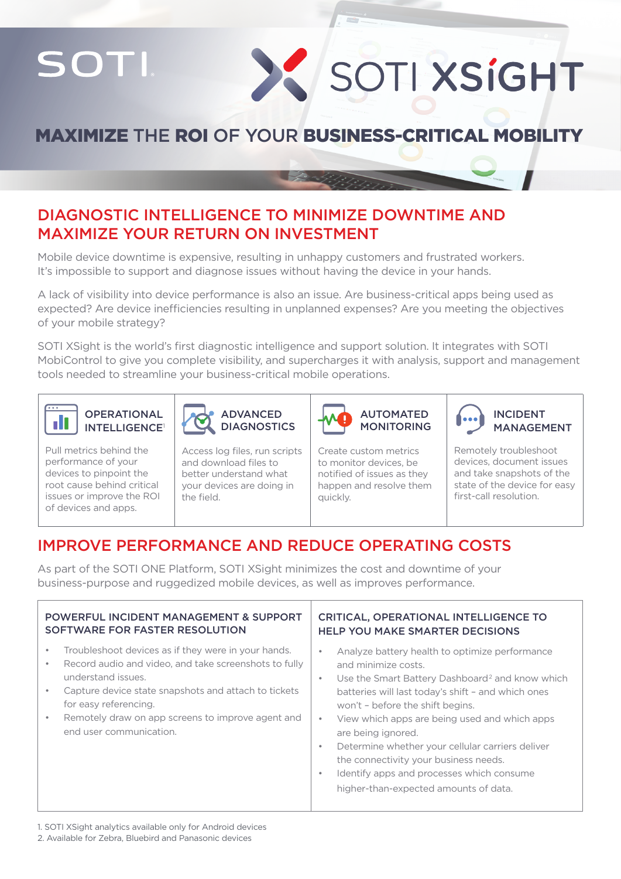SOTI

# X SOTI XSIGHT

# MAXIMIZE THE ROI OF YOUR BUSINESS-CRITICAL MOBILITY

## DIAGNOSTIC INTELLIGENCE TO MINIMIZE DOWNTIME AND MAXIMIZE YOUR RETURN ON INVESTMENT

Mobile device downtime is expensive, resulting in unhappy customers and frustrated workers. It's impossible to support and diagnose issues without having the device in your hands.

A lack of visibility into device performance is also an issue. Are business-critical apps being used as expected? Are device inefficiencies resulting in unplanned expenses? Are you meeting the objectives of your mobile strategy?

SOTI XSight is the world's first diagnostic intelligence and support solution. It integrates with SOTI MobiControl to give you complete visibility, and supercharges it with analysis, support and management tools needed to streamline your business-critical mobile operations.





Pull metrics behind the performance of your devices to pinpoint the root cause behind critical issues or improve the ROI of devices and apps.

Access log files, run scripts and download files to better understand what your devices are doing in the field.



Create custom metrics to monitor devices, be notified of issues as they happen and resolve them quickly.

 INCIDENT MANAGEMENT

Remotely troubleshoot devices, document issues and take snapshots of the state of the device for easy first-call resolution.

# IMPROVE PERFORMANCE AND REDUCE OPERATING COSTS

As part of the SOTI ONE Platform, SOTI XSight minimizes the cost and downtime of your business-purpose and ruggedized mobile devices, as well as improves performance.

| <b>POWERFUL INCIDENT MANAGEMENT &amp; SUPPORT</b>                                                                                                                                                                                                                                                   | <b>CRITICAL, OPERATIONAL INTELLIGENCE TO</b>                                                                                                                                                                                                                                                                                                                                                                                                                                                                              |
|-----------------------------------------------------------------------------------------------------------------------------------------------------------------------------------------------------------------------------------------------------------------------------------------------------|---------------------------------------------------------------------------------------------------------------------------------------------------------------------------------------------------------------------------------------------------------------------------------------------------------------------------------------------------------------------------------------------------------------------------------------------------------------------------------------------------------------------------|
| SOFTWARE FOR FASTER RESOLUTION                                                                                                                                                                                                                                                                      | <b>HELP YOU MAKE SMARTER DECISIONS</b>                                                                                                                                                                                                                                                                                                                                                                                                                                                                                    |
| Troubleshoot devices as if they were in your hands.<br>Record audio and video, and take screenshots to fully<br>understand issues.<br>Capture device state snapshots and attach to tickets<br>for easy referencing.<br>Remotely draw on app screens to improve agent and<br>end user communication. | Analyze battery health to optimize performance<br>٠<br>and minimize costs.<br>Use the Smart Battery Dashboard <sup>2</sup> and know which<br>۰<br>batteries will last today's shift - and which ones<br>won't - before the shift begins.<br>View which apps are being used and which apps<br>$\bullet$<br>are being ignored.<br>Determine whether your cellular carriers deliver<br>٠<br>the connectivity your business needs.<br>Identify apps and processes which consume<br>٠<br>higher-than-expected amounts of data. |

1. SOTI XSight analytics available only for Android devices

2. Available for Zebra, Bluebird and Panasonic devices